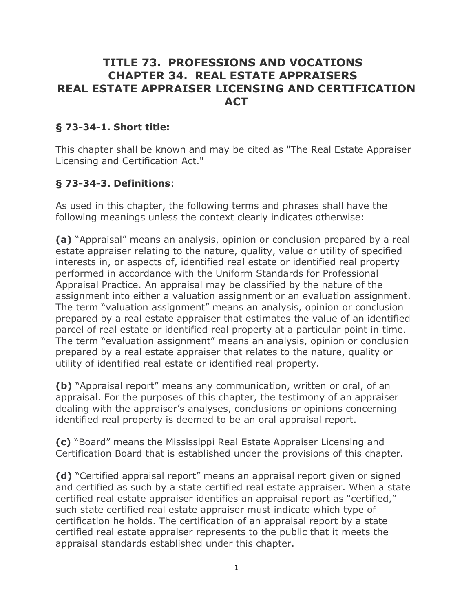# **TITLE 73. PROFESSIONS AND VOCATIONS CHAPTER 34. REAL ESTATE APPRAISERS REAL ESTATE APPRAISER LICENSING AND CERTIFICATION ACT**

# **§ 73-34-1. Short title:**

This chapter shall be known and may be cited as "The Real Estate Appraiser Licensing and Certification Act."

# **§ 73-34-3. Definitions**:

As used in this chapter, the following terms and phrases shall have the following meanings unless the context clearly indicates otherwise:

**(a)** "Appraisal" means an analysis, opinion or conclusion prepared by a real estate appraiser relating to the nature, quality, value or utility of specified interests in, or aspects of, identified real estate or identified real property performed in accordance with the Uniform Standards for Professional Appraisal Practice. An appraisal may be classified by the nature of the assignment into either a valuation assignment or an evaluation assignment. The term "valuation assignment" means an analysis, opinion or conclusion prepared by a real estate appraiser that estimates the value of an identified parcel of real estate or identified real property at a particular point in time. The term "evaluation assignment" means an analysis, opinion or conclusion prepared by a real estate appraiser that relates to the nature, quality or utility of identified real estate or identified real property.

**(b)** "Appraisal report" means any communication, written or oral, of an appraisal. For the purposes of this chapter, the testimony of an appraiser dealing with the appraiser's analyses, conclusions or opinions concerning identified real property is deemed to be an oral appraisal report.

**(c)** "Board" means the Mississippi Real Estate Appraiser Licensing and Certification Board that is established under the provisions of this chapter.

**(d)** "Certified appraisal report" means an appraisal report given or signed and certified as such by a state certified real estate appraiser. When a state certified real estate appraiser identifies an appraisal report as "certified," such state certified real estate appraiser must indicate which type of certification he holds. The certification of an appraisal report by a state certified real estate appraiser represents to the public that it meets the appraisal standards established under this chapter.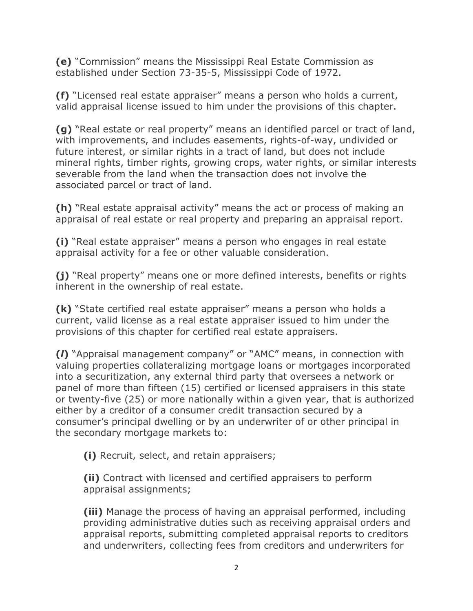**(e)** "Commission" means the Mississippi Real Estate Commission as established under Section 73-35-5, Mississippi Code of 1972.

**(f)** "Licensed real estate appraiser" means a person who holds a current, valid appraisal license issued to him under the provisions of this chapter.

**(g)** "Real estate or real property" means an identified parcel or tract of land, with improvements, and includes easements, rights-of-way, undivided or future interest, or similar rights in a tract of land, but does not include mineral rights, timber rights, growing crops, water rights, or similar interests severable from the land when the transaction does not involve the associated parcel or tract of land.

**(h)** "Real estate appraisal activity" means the act or process of making an appraisal of real estate or real property and preparing an appraisal report.

**(i)** "Real estate appraiser" means a person who engages in real estate appraisal activity for a fee or other valuable consideration.

**(j)** "Real property" means one or more defined interests, benefits or rights inherent in the ownership of real estate.

**(k)** "State certified real estate appraiser" means a person who holds a current, valid license as a real estate appraiser issued to him under the provisions of this chapter for certified real estate appraisers.

**(***l***)** "Appraisal management company" or "AMC" means, in connection with valuing properties collateralizing mortgage loans or mortgages incorporated into a securitization, any external third party that oversees a network or panel of more than fifteen (15) certified or licensed appraisers in this state or twenty-five (25) or more nationally within a given year, that is authorized either by a creditor of a consumer credit transaction secured by a consumer's principal dwelling or by an underwriter of or other principal in the secondary mortgage markets to:

**(i)** Recruit, select, and retain appraisers;

**(ii)** Contract with licensed and certified appraisers to perform appraisal assignments;

**(iii)** Manage the process of having an appraisal performed, including providing administrative duties such as receiving appraisal orders and appraisal reports, submitting completed appraisal reports to creditors and underwriters, collecting fees from creditors and underwriters for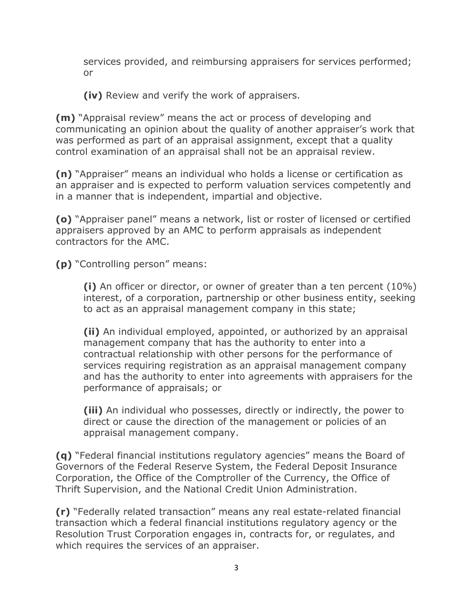services provided, and reimbursing appraisers for services performed; or

**(iv)** Review and verify the work of appraisers.

**(m)** "Appraisal review" means the act or process of developing and communicating an opinion about the quality of another appraiser's work that was performed as part of an appraisal assignment, except that a quality control examination of an appraisal shall not be an appraisal review.

**(n)** "Appraiser" means an individual who holds a license or certification as an appraiser and is expected to perform valuation services competently and in a manner that is independent, impartial and objective.

**(o)** "Appraiser panel" means a network, list or roster of licensed or certified appraisers approved by an AMC to perform appraisals as independent contractors for the AMC.

**(p)** "Controlling person" means:

**(i)** An officer or director, or owner of greater than a ten percent (10%) interest, of a corporation, partnership or other business entity, seeking to act as an appraisal management company in this state;

**(ii)** An individual employed, appointed, or authorized by an appraisal management company that has the authority to enter into a contractual relationship with other persons for the performance of services requiring registration as an appraisal management company and has the authority to enter into agreements with appraisers for the performance of appraisals; or

**(iii)** An individual who possesses, directly or indirectly, the power to direct or cause the direction of the management or policies of an appraisal management company.

**(q)** "Federal financial institutions regulatory agencies" means the Board of Governors of the Federal Reserve System, the Federal Deposit Insurance Corporation, the Office of the Comptroller of the Currency, the Office of Thrift Supervision, and the National Credit Union Administration.

**(r)** "Federally related transaction" means any real estate-related financial transaction which a federal financial institutions regulatory agency or the Resolution Trust Corporation engages in, contracts for, or regulates, and which requires the services of an appraiser.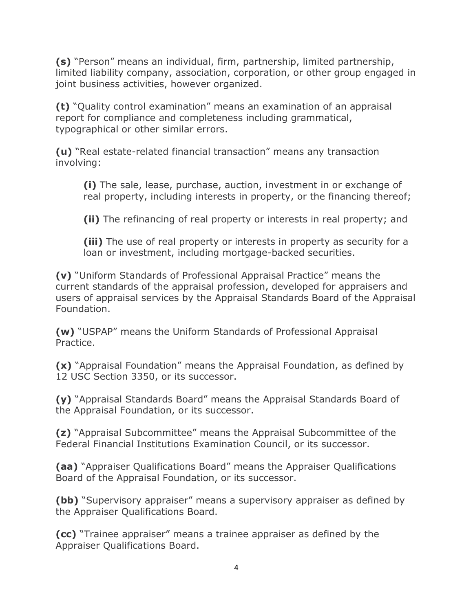**(s)** "Person" means an individual, firm, partnership, limited partnership, limited liability company, association, corporation, or other group engaged in joint business activities, however organized.

**(t)** "Quality control examination" means an examination of an appraisal report for compliance and completeness including grammatical, typographical or other similar errors.

**(u)** "Real estate-related financial transaction" means any transaction involving:

**(i)** The sale, lease, purchase, auction, investment in or exchange of real property, including interests in property, or the financing thereof;

**(ii)** The refinancing of real property or interests in real property; and

**(iii)** The use of real property or interests in property as security for a loan or investment, including mortgage-backed securities.

**(v)** "Uniform Standards of Professional Appraisal Practice" means the current standards of the appraisal profession, developed for appraisers and users of appraisal services by the Appraisal Standards Board of the Appraisal Foundation.

**(w)** "USPAP" means the Uniform Standards of Professional Appraisal Practice.

**(x)** "Appraisal Foundation" means the Appraisal Foundation, as defined by 12 USC Section 3350, or its successor.

**(y)** "Appraisal Standards Board" means the Appraisal Standards Board of the Appraisal Foundation, or its successor.

**(z)** "Appraisal Subcommittee" means the Appraisal Subcommittee of the Federal Financial Institutions Examination Council, or its successor.

**(aa)** "Appraiser Qualifications Board" means the Appraiser Qualifications Board of the Appraisal Foundation, or its successor.

**(bb)** "Supervisory appraiser" means a supervisory appraiser as defined by the Appraiser Qualifications Board.

**(cc)** "Trainee appraiser" means a trainee appraiser as defined by the Appraiser Qualifications Board.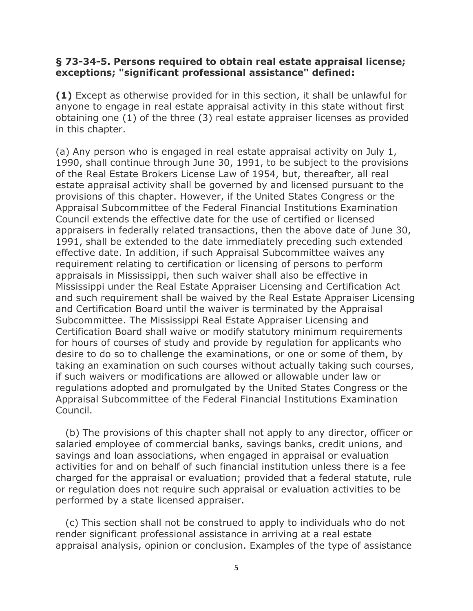#### **§ 73-34-5. Persons required to obtain real estate appraisal license; exceptions; "significant professional assistance" defined:**

**(1)** Except as otherwise provided for in this section, it shall be unlawful for anyone to engage in real estate appraisal activity in this state without first obtaining one (1) of the three (3) real estate appraiser licenses as provided in this chapter.

(a) Any person who is engaged in real estate appraisal activity on July 1, 1990, shall continue through June 30, 1991, to be subject to the provisions of the Real Estate Brokers License Law of 1954, but, thereafter, all real estate appraisal activity shall be governed by and licensed pursuant to the provisions of this chapter. However, if the United States Congress or the Appraisal Subcommittee of the Federal Financial Institutions Examination Council extends the effective date for the use of certified or licensed appraisers in federally related transactions, then the above date of June 30, 1991, shall be extended to the date immediately preceding such extended effective date. In addition, if such Appraisal Subcommittee waives any requirement relating to certification or licensing of persons to perform appraisals in Mississippi, then such waiver shall also be effective in Mississippi under the Real Estate Appraiser Licensing and Certification Act and such requirement shall be waived by the Real Estate Appraiser Licensing and Certification Board until the waiver is terminated by the Appraisal Subcommittee. The Mississippi Real Estate Appraiser Licensing and Certification Board shall waive or modify statutory minimum requirements for hours of courses of study and provide by regulation for applicants who desire to do so to challenge the examinations, or one or some of them, by taking an examination on such courses without actually taking such courses, if such waivers or modifications are allowed or allowable under law or regulations adopted and promulgated by the United States Congress or the Appraisal Subcommittee of the Federal Financial Institutions Examination Council.

 (b) The provisions of this chapter shall not apply to any director, officer or salaried employee of commercial banks, savings banks, credit unions, and savings and loan associations, when engaged in appraisal or evaluation activities for and on behalf of such financial institution unless there is a fee charged for the appraisal or evaluation; provided that a federal statute, rule or regulation does not require such appraisal or evaluation activities to be performed by a state licensed appraiser.

 (c) This section shall not be construed to apply to individuals who do not render significant professional assistance in arriving at a real estate appraisal analysis, opinion or conclusion. Examples of the type of assistance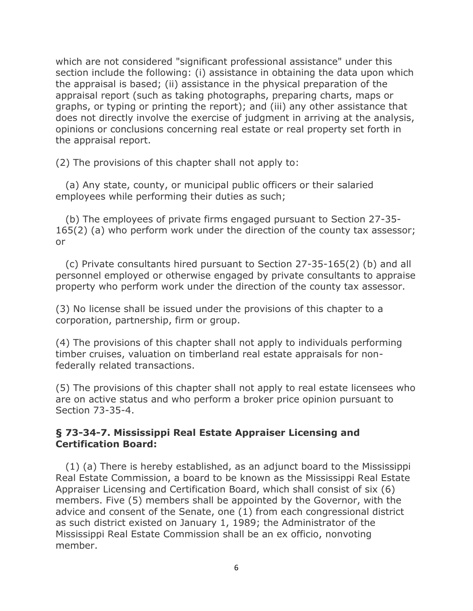which are not considered "significant professional assistance" under this section include the following: (i) assistance in obtaining the data upon which the appraisal is based; (ii) assistance in the physical preparation of the appraisal report (such as taking photographs, preparing charts, maps or graphs, or typing or printing the report); and (iii) any other assistance that does not directly involve the exercise of judgment in arriving at the analysis, opinions or conclusions concerning real estate or real property set forth in the appraisal report.

(2) The provisions of this chapter shall not apply to:

 (a) Any state, county, or municipal public officers or their salaried employees while performing their duties as such;

 (b) The employees of private firms engaged pursuant to Section 27-35- 165(2) (a) who perform work under the direction of the county tax assessor; or

 (c) Private consultants hired pursuant to Section 27-35-165(2) (b) and all personnel employed or otherwise engaged by private consultants to appraise property who perform work under the direction of the county tax assessor.

(3) No license shall be issued under the provisions of this chapter to a corporation, partnership, firm or group.

(4) The provisions of this chapter shall not apply to individuals performing timber cruises, valuation on timberland real estate appraisals for nonfederally related transactions.

(5) The provisions of this chapter shall not apply to real estate licensees who are on active status and who perform a broker price opinion pursuant to Section 73-35-4.

### **§ 73-34-7. Mississippi Real Estate Appraiser Licensing and Certification Board:**

 (1) (a) There is hereby established, as an adjunct board to the Mississippi Real Estate Commission, a board to be known as the Mississippi Real Estate Appraiser Licensing and Certification Board, which shall consist of six (6) members. Five (5) members shall be appointed by the Governor, with the advice and consent of the Senate, one (1) from each congressional district as such district existed on January 1, 1989; the Administrator of the Mississippi Real Estate Commission shall be an ex officio, nonvoting member.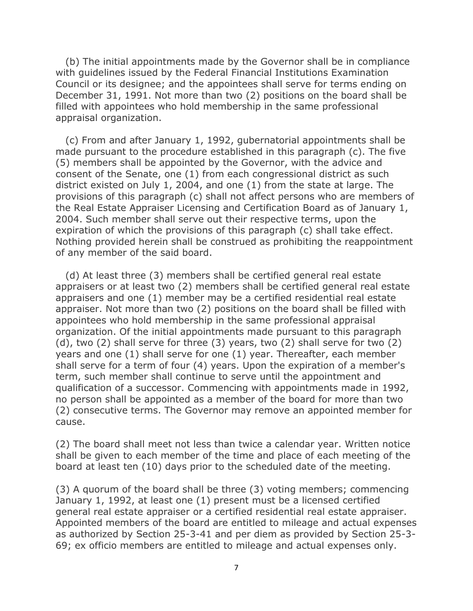(b) The initial appointments made by the Governor shall be in compliance with guidelines issued by the Federal Financial Institutions Examination Council or its designee; and the appointees shall serve for terms ending on December 31, 1991. Not more than two (2) positions on the board shall be filled with appointees who hold membership in the same professional appraisal organization.

 (c) From and after January 1, 1992, gubernatorial appointments shall be made pursuant to the procedure established in this paragraph (c). The five (5) members shall be appointed by the Governor, with the advice and consent of the Senate, one (1) from each congressional district as such district existed on July 1, 2004, and one (1) from the state at large. The provisions of this paragraph (c) shall not affect persons who are members of the Real Estate Appraiser Licensing and Certification Board as of January 1, 2004. Such member shall serve out their respective terms, upon the expiration of which the provisions of this paragraph (c) shall take effect. Nothing provided herein shall be construed as prohibiting the reappointment of any member of the said board.

 (d) At least three (3) members shall be certified general real estate appraisers or at least two (2) members shall be certified general real estate appraisers and one (1) member may be a certified residential real estate appraiser. Not more than two (2) positions on the board shall be filled with appointees who hold membership in the same professional appraisal organization. Of the initial appointments made pursuant to this paragraph (d), two (2) shall serve for three (3) years, two (2) shall serve for two (2) years and one (1) shall serve for one (1) year. Thereafter, each member shall serve for a term of four (4) years. Upon the expiration of a member's term, such member shall continue to serve until the appointment and qualification of a successor. Commencing with appointments made in 1992, no person shall be appointed as a member of the board for more than two (2) consecutive terms. The Governor may remove an appointed member for cause.

(2) The board shall meet not less than twice a calendar year. Written notice shall be given to each member of the time and place of each meeting of the board at least ten (10) days prior to the scheduled date of the meeting.

(3) A quorum of the board shall be three (3) voting members; commencing January 1, 1992, at least one (1) present must be a licensed certified general real estate appraiser or a certified residential real estate appraiser. Appointed members of the board are entitled to mileage and actual expenses as authorized by Section 25-3-41 and per diem as provided by Section 25-3- 69; ex officio members are entitled to mileage and actual expenses only.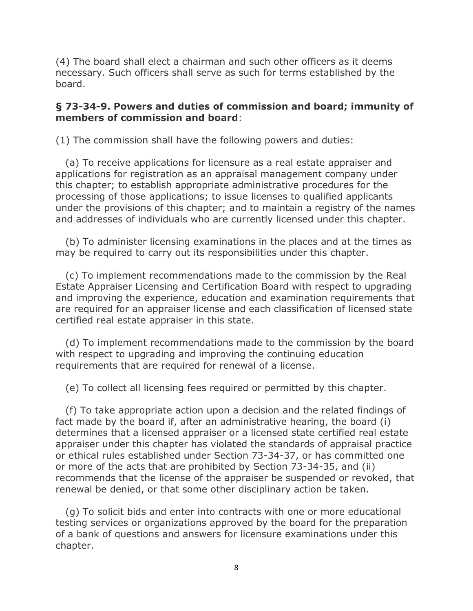(4) The board shall elect a chairman and such other officers as it deems necessary. Such officers shall serve as such for terms established by the board.

#### **§ 73-34-9. Powers and duties of commission and board; immunity of members of commission and board**:

(1) The commission shall have the following powers and duties:

 (a) To receive applications for licensure as a real estate appraiser and applications for registration as an appraisal management company under this chapter; to establish appropriate administrative procedures for the processing of those applications; to issue licenses to qualified applicants under the provisions of this chapter; and to maintain a registry of the names and addresses of individuals who are currently licensed under this chapter.

 (b) To administer licensing examinations in the places and at the times as may be required to carry out its responsibilities under this chapter.

 (c) To implement recommendations made to the commission by the Real Estate Appraiser Licensing and Certification Board with respect to upgrading and improving the experience, education and examination requirements that are required for an appraiser license and each classification of licensed state certified real estate appraiser in this state.

 (d) To implement recommendations made to the commission by the board with respect to upgrading and improving the continuing education requirements that are required for renewal of a license.

(e) To collect all licensing fees required or permitted by this chapter.

 (f) To take appropriate action upon a decision and the related findings of fact made by the board if, after an administrative hearing, the board (i) determines that a licensed appraiser or a licensed state certified real estate appraiser under this chapter has violated the standards of appraisal practice or ethical rules established under Section 73-34-37, or has committed one or more of the acts that are prohibited by Section 73-34-35, and (ii) recommends that the license of the appraiser be suspended or revoked, that renewal be denied, or that some other disciplinary action be taken.

 (g) To solicit bids and enter into contracts with one or more educational testing services or organizations approved by the board for the preparation of a bank of questions and answers for licensure examinations under this chapter.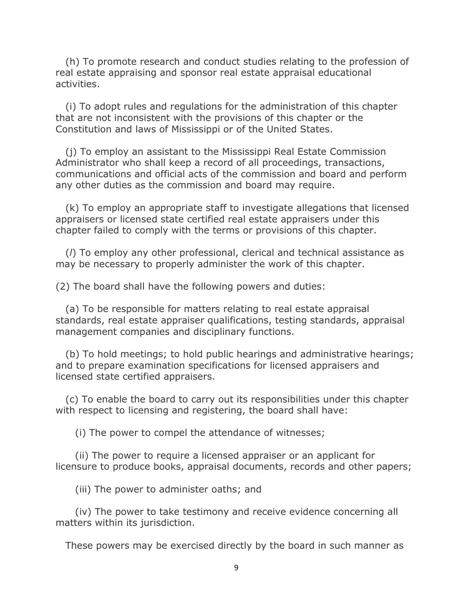(h) To promote research and conduct studies relating to the profession of real estate appraising and sponsor real estate appraisal educational activities.

 (i) To adopt rules and regulations for the administration of this chapter that are not inconsistent with the provisions of this chapter or the Constitution and laws of Mississippi or of the United States.

 (j) To employ an assistant to the Mississippi Real Estate Commission Administrator who shall keep a record of all proceedings, transactions, communications and official acts of the commission and board and perform any other duties as the commission and board may require.

 (k) To employ an appropriate staff to investigate allegations that licensed appraisers or licensed state certified real estate appraisers under this chapter failed to comply with the terms or provisions of this chapter.

 (*l*) To employ any other professional, clerical and technical assistance as may be necessary to properly administer the work of this chapter.

(2) The board shall have the following powers and duties:

 (a) To be responsible for matters relating to real estate appraisal standards, real estate appraiser qualifications, testing standards, appraisal management companies and disciplinary functions.

 (b) To hold meetings; to hold public hearings and administrative hearings; and to prepare examination specifications for licensed appraisers and licensed state certified appraisers.

 (c) To enable the board to carry out its responsibilities under this chapter with respect to licensing and registering, the board shall have:

(i) The power to compel the attendance of witnesses;

 (ii) The power to require a licensed appraiser or an applicant for licensure to produce books, appraisal documents, records and other papers;

(iii) The power to administer oaths; and

 (iv) The power to take testimony and receive evidence concerning all matters within its jurisdiction.

These powers may be exercised directly by the board in such manner as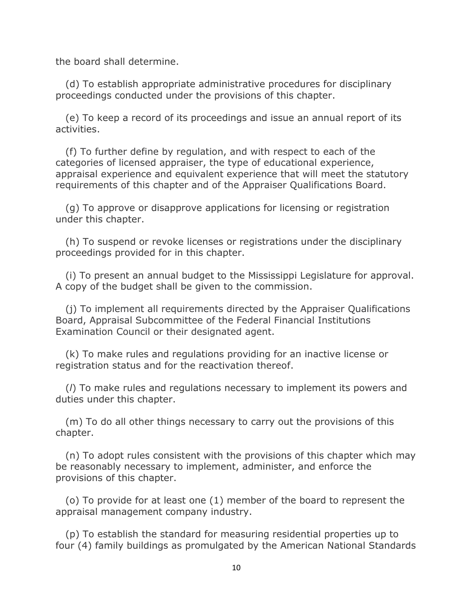the board shall determine.

 (d) To establish appropriate administrative procedures for disciplinary proceedings conducted under the provisions of this chapter.

 (e) To keep a record of its proceedings and issue an annual report of its activities.

 (f) To further define by regulation, and with respect to each of the categories of licensed appraiser, the type of educational experience, appraisal experience and equivalent experience that will meet the statutory requirements of this chapter and of the Appraiser Qualifications Board.

 (g) To approve or disapprove applications for licensing or registration under this chapter.

 (h) To suspend or revoke licenses or registrations under the disciplinary proceedings provided for in this chapter.

 (i) To present an annual budget to the Mississippi Legislature for approval. A copy of the budget shall be given to the commission.

 (j) To implement all requirements directed by the Appraiser Qualifications Board, Appraisal Subcommittee of the Federal Financial Institutions Examination Council or their designated agent.

 (k) To make rules and regulations providing for an inactive license or registration status and for the reactivation thereof.

 (*l*) To make rules and regulations necessary to implement its powers and duties under this chapter.

 (m) To do all other things necessary to carry out the provisions of this chapter.

 (n) To adopt rules consistent with the provisions of this chapter which may be reasonably necessary to implement, administer, and enforce the provisions of this chapter.

 (o) To provide for at least one (1) member of the board to represent the appraisal management company industry.

 (p) To establish the standard for measuring residential properties up to four (4) family buildings as promulgated by the American National Standards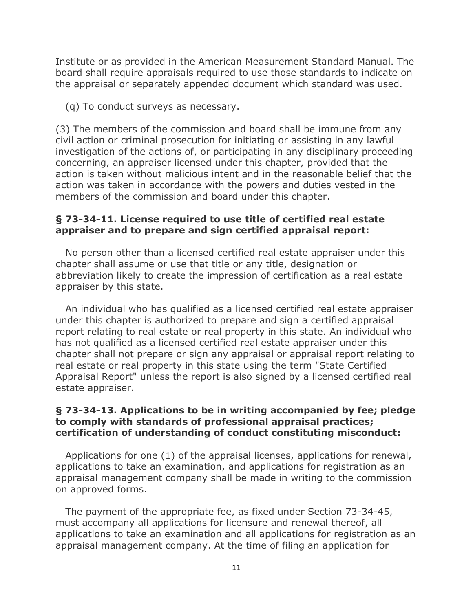Institute or as provided in the American Measurement Standard Manual. The board shall require appraisals required to use those standards to indicate on the appraisal or separately appended document which standard was used.

(q) To conduct surveys as necessary.

(3) The members of the commission and board shall be immune from any civil action or criminal prosecution for initiating or assisting in any lawful investigation of the actions of, or participating in any disciplinary proceeding concerning, an appraiser licensed under this chapter, provided that the action is taken without malicious intent and in the reasonable belief that the action was taken in accordance with the powers and duties vested in the members of the commission and board under this chapter.

#### **§ 73-34-11. License required to use title of certified real estate appraiser and to prepare and sign certified appraisal report:**

 No person other than a licensed certified real estate appraiser under this chapter shall assume or use that title or any title, designation or abbreviation likely to create the impression of certification as a real estate appraiser by this state.

 An individual who has qualified as a licensed certified real estate appraiser under this chapter is authorized to prepare and sign a certified appraisal report relating to real estate or real property in this state. An individual who has not qualified as a licensed certified real estate appraiser under this chapter shall not prepare or sign any appraisal or appraisal report relating to real estate or real property in this state using the term "State Certified Appraisal Report" unless the report is also signed by a licensed certified real estate appraiser.

#### **§ 73-34-13. Applications to be in writing accompanied by fee; pledge to comply with standards of professional appraisal practices; certification of understanding of conduct constituting misconduct:**

 Applications for one (1) of the appraisal licenses, applications for renewal, applications to take an examination, and applications for registration as an appraisal management company shall be made in writing to the commission on approved forms.

 The payment of the appropriate fee, as fixed under Section 73-34-45, must accompany all applications for licensure and renewal thereof, all applications to take an examination and all applications for registration as an appraisal management company. At the time of filing an application for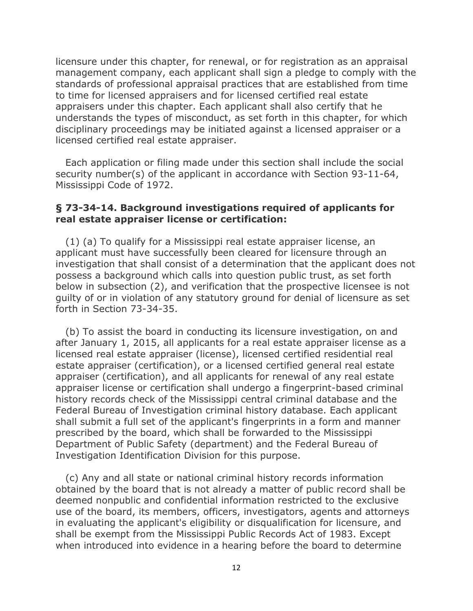licensure under this chapter, for renewal, or for registration as an appraisal management company, each applicant shall sign a pledge to comply with the standards of professional appraisal practices that are established from time to time for licensed appraisers and for licensed certified real estate appraisers under this chapter. Each applicant shall also certify that he understands the types of misconduct, as set forth in this chapter, for which disciplinary proceedings may be initiated against a licensed appraiser or a licensed certified real estate appraiser.

 Each application or filing made under this section shall include the social security number(s) of the applicant in accordance with Section 93-11-64, Mississippi Code of 1972.

#### **§ 73-34-14. Background investigations required of applicants for real estate appraiser license or certification:**

 (1) (a) To qualify for a Mississippi real estate appraiser license, an applicant must have successfully been cleared for licensure through an investigation that shall consist of a determination that the applicant does not possess a background which calls into question public trust, as set forth below in subsection (2), and verification that the prospective licensee is not guilty of or in violation of any statutory ground for denial of licensure as set forth in Section 73-34-35.

 (b) To assist the board in conducting its licensure investigation, on and after January 1, 2015, all applicants for a real estate appraiser license as a licensed real estate appraiser (license), licensed certified residential real estate appraiser (certification), or a licensed certified general real estate appraiser (certification), and all applicants for renewal of any real estate appraiser license or certification shall undergo a fingerprint-based criminal history records check of the Mississippi central criminal database and the Federal Bureau of Investigation criminal history database. Each applicant shall submit a full set of the applicant's fingerprints in a form and manner prescribed by the board, which shall be forwarded to the Mississippi Department of Public Safety (department) and the Federal Bureau of Investigation Identification Division for this purpose.

 (c) Any and all state or national criminal history records information obtained by the board that is not already a matter of public record shall be deemed nonpublic and confidential information restricted to the exclusive use of the board, its members, officers, investigators, agents and attorneys in evaluating the applicant's eligibility or disqualification for licensure, and shall be exempt from the Mississippi Public Records Act of 1983. Except when introduced into evidence in a hearing before the board to determine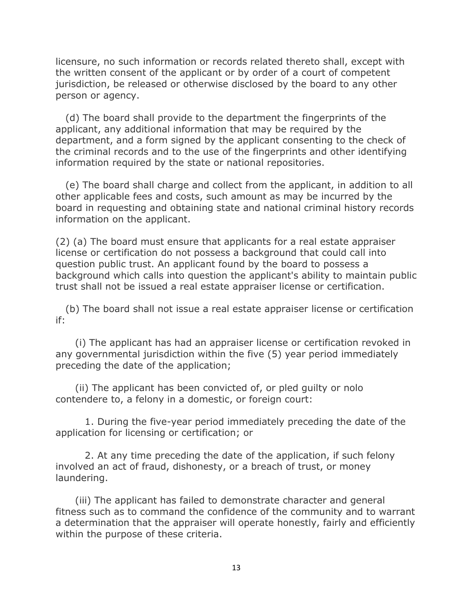licensure, no such information or records related thereto shall, except with the written consent of the applicant or by order of a court of competent jurisdiction, be released or otherwise disclosed by the board to any other person or agency.

 (d) The board shall provide to the department the fingerprints of the applicant, any additional information that may be required by the department, and a form signed by the applicant consenting to the check of the criminal records and to the use of the fingerprints and other identifying information required by the state or national repositories.

 (e) The board shall charge and collect from the applicant, in addition to all other applicable fees and costs, such amount as may be incurred by the board in requesting and obtaining state and national criminal history records information on the applicant.

(2) (a) The board must ensure that applicants for a real estate appraiser license or certification do not possess a background that could call into question public trust. An applicant found by the board to possess a background which calls into question the applicant's ability to maintain public trust shall not be issued a real estate appraiser license or certification.

 (b) The board shall not issue a real estate appraiser license or certification if:

 (i) The applicant has had an appraiser license or certification revoked in any governmental jurisdiction within the five (5) year period immediately preceding the date of the application;

 (ii) The applicant has been convicted of, or pled guilty or nolo contendere to, a felony in a domestic, or foreign court:

 1. During the five-year period immediately preceding the date of the application for licensing or certification; or

 2. At any time preceding the date of the application, if such felony involved an act of fraud, dishonesty, or a breach of trust, or money laundering.

 (iii) The applicant has failed to demonstrate character and general fitness such as to command the confidence of the community and to warrant a determination that the appraiser will operate honestly, fairly and efficiently within the purpose of these criteria.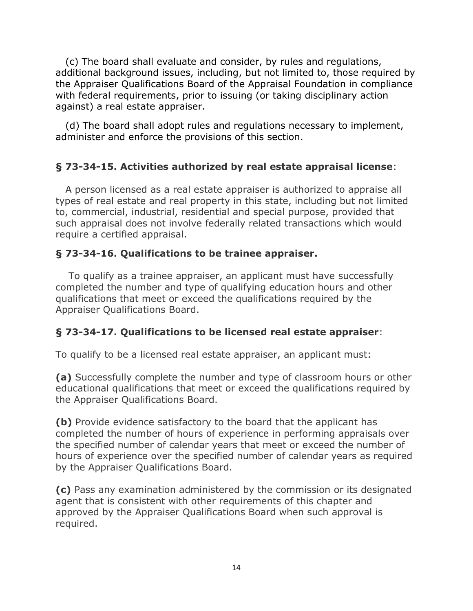(c) The board shall evaluate and consider, by rules and regulations, additional background issues, including, but not limited to, those required by the Appraiser Qualifications Board of the Appraisal Foundation in compliance with federal requirements, prior to issuing (or taking disciplinary action against) a real estate appraiser.

 (d) The board shall adopt rules and regulations necessary to implement, administer and enforce the provisions of this section.

# **§ 73-34-15. Activities authorized by real estate appraisal license**:

 A person licensed as a real estate appraiser is authorized to appraise all types of real estate and real property in this state, including but not limited to, commercial, industrial, residential and special purpose, provided that such appraisal does not involve federally related transactions which would require a certified appraisal.

# **§ 73-34-16. Qualifications to be trainee appraiser.**

 To qualify as a trainee appraiser, an applicant must have successfully completed the number and type of qualifying education hours and other qualifications that meet or exceed the qualifications required by the Appraiser Qualifications Board.

## **§ 73-34-17. Qualifications to be licensed real estate appraiser**:

To qualify to be a licensed real estate appraiser, an applicant must:

**(a)** Successfully complete the number and type of classroom hours or other educational qualifications that meet or exceed the qualifications required by the Appraiser Qualifications Board.

**(b)** Provide evidence satisfactory to the board that the applicant has completed the number of hours of experience in performing appraisals over the specified number of calendar years that meet or exceed the number of hours of experience over the specified number of calendar years as required by the Appraiser Qualifications Board.

**(c)** Pass any examination administered by the commission or its designated agent that is consistent with other requirements of this chapter and approved by the Appraiser Qualifications Board when such approval is required.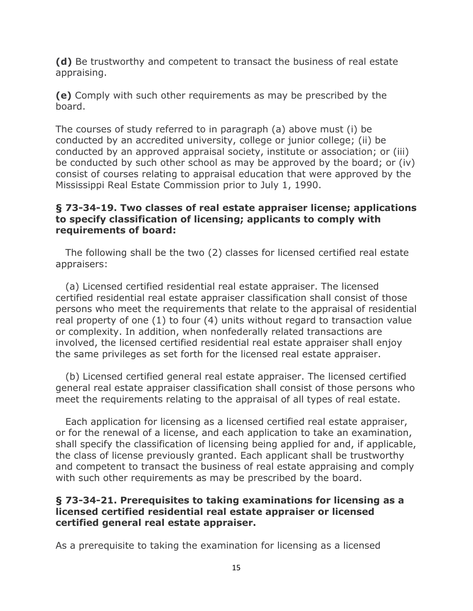**(d)** Be trustworthy and competent to transact the business of real estate appraising.

**(e)** Comply with such other requirements as may be prescribed by the board.

The courses of study referred to in paragraph (a) above must (i) be conducted by an accredited university, college or junior college; (ii) be conducted by an approved appraisal society, institute or association; or (iii) be conducted by such other school as may be approved by the board; or (iv) consist of courses relating to appraisal education that were approved by the Mississippi Real Estate Commission prior to July 1, 1990.

### **§ 73-34-19. Two classes of real estate appraiser license; applications to specify classification of licensing; applicants to comply with requirements of board:**

 The following shall be the two (2) classes for licensed certified real estate appraisers:

 (a) Licensed certified residential real estate appraiser. The licensed certified residential real estate appraiser classification shall consist of those persons who meet the requirements that relate to the appraisal of residential real property of one (1) to four (4) units without regard to transaction value or complexity. In addition, when nonfederally related transactions are involved, the licensed certified residential real estate appraiser shall enjoy the same privileges as set forth for the licensed real estate appraiser.

 (b) Licensed certified general real estate appraiser. The licensed certified general real estate appraiser classification shall consist of those persons who meet the requirements relating to the appraisal of all types of real estate.

 Each application for licensing as a licensed certified real estate appraiser, or for the renewal of a license, and each application to take an examination, shall specify the classification of licensing being applied for and, if applicable, the class of license previously granted. Each applicant shall be trustworthy and competent to transact the business of real estate appraising and comply with such other requirements as may be prescribed by the board.

### **§ 73-34-21. Prerequisites to taking examinations for licensing as a licensed certified residential real estate appraiser or licensed certified general real estate appraiser.**

As a prerequisite to taking the examination for licensing as a licensed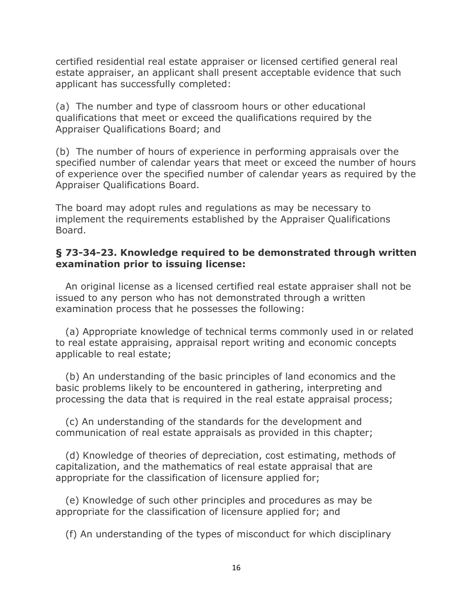certified residential real estate appraiser or licensed certified general real estate appraiser, an applicant shall present acceptable evidence that such applicant has successfully completed:

(a) The number and type of classroom hours or other educational qualifications that meet or exceed the qualifications required by the Appraiser Qualifications Board; and

(b) The number of hours of experience in performing appraisals over the specified number of calendar years that meet or exceed the number of hours of experience over the specified number of calendar years as required by the Appraiser Qualifications Board.

The board may adopt rules and regulations as may be necessary to implement the requirements established by the Appraiser Qualifications Board.

#### **§ 73-34-23. Knowledge required to be demonstrated through written examination prior to issuing license:**

 An original license as a licensed certified real estate appraiser shall not be issued to any person who has not demonstrated through a written examination process that he possesses the following:

 (a) Appropriate knowledge of technical terms commonly used in or related to real estate appraising, appraisal report writing and economic concepts applicable to real estate;

 (b) An understanding of the basic principles of land economics and the basic problems likely to be encountered in gathering, interpreting and processing the data that is required in the real estate appraisal process;

 (c) An understanding of the standards for the development and communication of real estate appraisals as provided in this chapter;

 (d) Knowledge of theories of depreciation, cost estimating, methods of capitalization, and the mathematics of real estate appraisal that are appropriate for the classification of licensure applied for;

 (e) Knowledge of such other principles and procedures as may be appropriate for the classification of licensure applied for; and

(f) An understanding of the types of misconduct for which disciplinary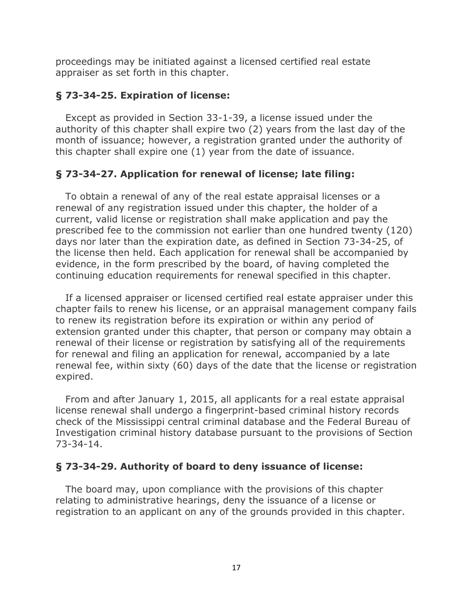proceedings may be initiated against a licensed certified real estate appraiser as set forth in this chapter.

### **§ 73-34-25. Expiration of license:**

 Except as provided in Section 33-1-39, a license issued under the authority of this chapter shall expire two (2) years from the last day of the month of issuance; however, a registration granted under the authority of this chapter shall expire one (1) year from the date of issuance.

# **§ 73-34-27. Application for renewal of license; late filing:**

 To obtain a renewal of any of the real estate appraisal licenses or a renewal of any registration issued under this chapter, the holder of a current, valid license or registration shall make application and pay the prescribed fee to the commission not earlier than one hundred twenty (120) days nor later than the expiration date, as defined in Section 73-34-25, of the license then held. Each application for renewal shall be accompanied by evidence, in the form prescribed by the board, of having completed the continuing education requirements for renewal specified in this chapter.

 If a licensed appraiser or licensed certified real estate appraiser under this chapter fails to renew his license, or an appraisal management company fails to renew its registration before its expiration or within any period of extension granted under this chapter, that person or company may obtain a renewal of their license or registration by satisfying all of the requirements for renewal and filing an application for renewal, accompanied by a late renewal fee, within sixty (60) days of the date that the license or registration expired.

 From and after January 1, 2015, all applicants for a real estate appraisal license renewal shall undergo a fingerprint-based criminal history records check of the Mississippi central criminal database and the Federal Bureau of Investigation criminal history database pursuant to the provisions of Section 73-34-14.

## **§ 73-34-29. Authority of board to deny issuance of license:**

 The board may, upon compliance with the provisions of this chapter relating to administrative hearings, deny the issuance of a license or registration to an applicant on any of the grounds provided in this chapter.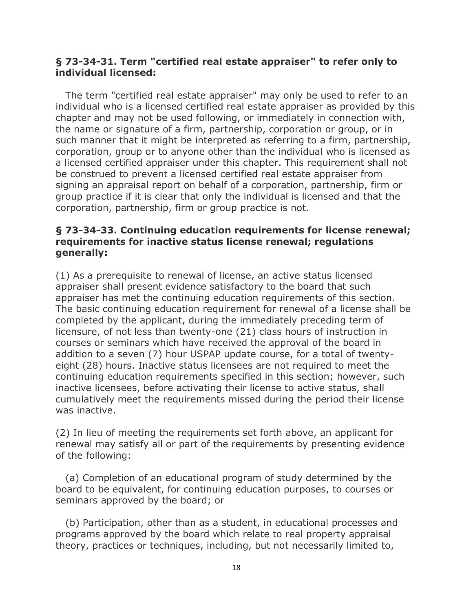### **§ 73-34-31. Term "certified real estate appraiser" to refer only to individual licensed:**

 The term "certified real estate appraiser" may only be used to refer to an individual who is a licensed certified real estate appraiser as provided by this chapter and may not be used following, or immediately in connection with, the name or signature of a firm, partnership, corporation or group, or in such manner that it might be interpreted as referring to a firm, partnership, corporation, group or to anyone other than the individual who is licensed as a licensed certified appraiser under this chapter. This requirement shall not be construed to prevent a licensed certified real estate appraiser from signing an appraisal report on behalf of a corporation, partnership, firm or group practice if it is clear that only the individual is licensed and that the corporation, partnership, firm or group practice is not.

### **§ 73-34-33. Continuing education requirements for license renewal; requirements for inactive status license renewal; regulations generally:**

(1) As a prerequisite to renewal of license, an active status licensed appraiser shall present evidence satisfactory to the board that such appraiser has met the continuing education requirements of this section. The basic continuing education requirement for renewal of a license shall be completed by the applicant, during the immediately preceding term of licensure, of not less than twenty-one (21) class hours of instruction in courses or seminars which have received the approval of the board in addition to a seven (7) hour USPAP update course, for a total of twentyeight (28) hours. Inactive status licensees are not required to meet the continuing education requirements specified in this section; however, such inactive licensees, before activating their license to active status, shall cumulatively meet the requirements missed during the period their license was inactive.

(2) In lieu of meeting the requirements set forth above, an applicant for renewal may satisfy all or part of the requirements by presenting evidence of the following:

 (a) Completion of an educational program of study determined by the board to be equivalent, for continuing education purposes, to courses or seminars approved by the board; or

 (b) Participation, other than as a student, in educational processes and programs approved by the board which relate to real property appraisal theory, practices or techniques, including, but not necessarily limited to,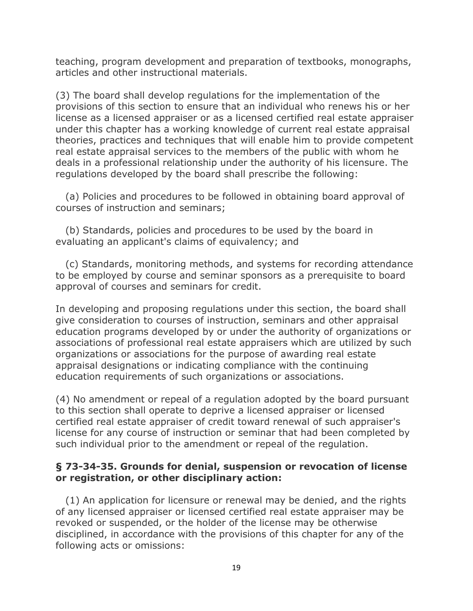teaching, program development and preparation of textbooks, monographs, articles and other instructional materials.

(3) The board shall develop regulations for the implementation of the provisions of this section to ensure that an individual who renews his or her license as a licensed appraiser or as a licensed certified real estate appraiser under this chapter has a working knowledge of current real estate appraisal theories, practices and techniques that will enable him to provide competent real estate appraisal services to the members of the public with whom he deals in a professional relationship under the authority of his licensure. The regulations developed by the board shall prescribe the following:

 (a) Policies and procedures to be followed in obtaining board approval of courses of instruction and seminars;

 (b) Standards, policies and procedures to be used by the board in evaluating an applicant's claims of equivalency; and

 (c) Standards, monitoring methods, and systems for recording attendance to be employed by course and seminar sponsors as a prerequisite to board approval of courses and seminars for credit.

In developing and proposing regulations under this section, the board shall give consideration to courses of instruction, seminars and other appraisal education programs developed by or under the authority of organizations or associations of professional real estate appraisers which are utilized by such organizations or associations for the purpose of awarding real estate appraisal designations or indicating compliance with the continuing education requirements of such organizations or associations.

(4) No amendment or repeal of a regulation adopted by the board pursuant to this section shall operate to deprive a licensed appraiser or licensed certified real estate appraiser of credit toward renewal of such appraiser's license for any course of instruction or seminar that had been completed by such individual prior to the amendment or repeal of the regulation.

### **§ 73-34-35. Grounds for denial, suspension or revocation of license or registration, or other disciplinary action:**

 (1) An application for licensure or renewal may be denied, and the rights of any licensed appraiser or licensed certified real estate appraiser may be revoked or suspended, or the holder of the license may be otherwise disciplined, in accordance with the provisions of this chapter for any of the following acts or omissions: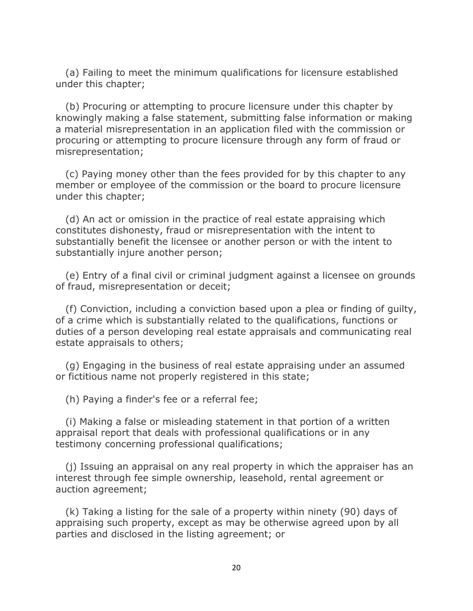(a) Failing to meet the minimum qualifications for licensure established under this chapter;

 (b) Procuring or attempting to procure licensure under this chapter by knowingly making a false statement, submitting false information or making a material misrepresentation in an application filed with the commission or procuring or attempting to procure licensure through any form of fraud or misrepresentation;

 (c) Paying money other than the fees provided for by this chapter to any member or employee of the commission or the board to procure licensure under this chapter;

 (d) An act or omission in the practice of real estate appraising which constitutes dishonesty, fraud or misrepresentation with the intent to substantially benefit the licensee or another person or with the intent to substantially injure another person;

 (e) Entry of a final civil or criminal judgment against a licensee on grounds of fraud, misrepresentation or deceit;

 (f) Conviction, including a conviction based upon a plea or finding of guilty, of a crime which is substantially related to the qualifications, functions or duties of a person developing real estate appraisals and communicating real estate appraisals to others;

 (g) Engaging in the business of real estate appraising under an assumed or fictitious name not properly registered in this state;

(h) Paying a finder's fee or a referral fee;

 (i) Making a false or misleading statement in that portion of a written appraisal report that deals with professional qualifications or in any testimony concerning professional qualifications;

 (j) Issuing an appraisal on any real property in which the appraiser has an interest through fee simple ownership, leasehold, rental agreement or auction agreement;

 (k) Taking a listing for the sale of a property within ninety (90) days of appraising such property, except as may be otherwise agreed upon by all parties and disclosed in the listing agreement; or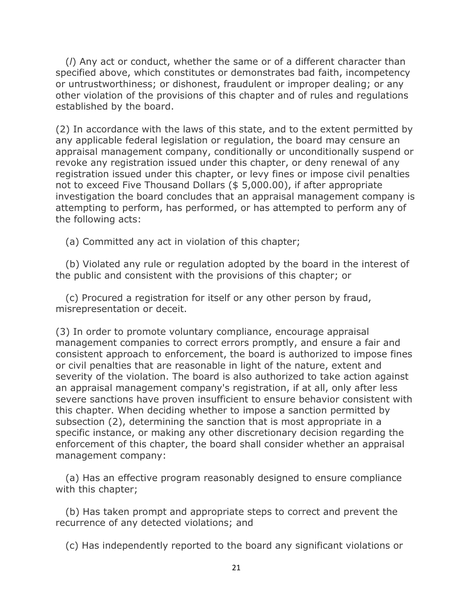(*l*) Any act or conduct, whether the same or of a different character than specified above, which constitutes or demonstrates bad faith, incompetency or untrustworthiness; or dishonest, fraudulent or improper dealing; or any other violation of the provisions of this chapter and of rules and regulations established by the board.

(2) In accordance with the laws of this state, and to the extent permitted by any applicable federal legislation or regulation, the board may censure an appraisal management company, conditionally or unconditionally suspend or revoke any registration issued under this chapter, or deny renewal of any registration issued under this chapter, or levy fines or impose civil penalties not to exceed Five Thousand Dollars (\$ 5,000.00), if after appropriate investigation the board concludes that an appraisal management company is attempting to perform, has performed, or has attempted to perform any of the following acts:

(a) Committed any act in violation of this chapter;

 (b) Violated any rule or regulation adopted by the board in the interest of the public and consistent with the provisions of this chapter; or

 (c) Procured a registration for itself or any other person by fraud, misrepresentation or deceit.

(3) In order to promote voluntary compliance, encourage appraisal management companies to correct errors promptly, and ensure a fair and consistent approach to enforcement, the board is authorized to impose fines or civil penalties that are reasonable in light of the nature, extent and severity of the violation. The board is also authorized to take action against an appraisal management company's registration, if at all, only after less severe sanctions have proven insufficient to ensure behavior consistent with this chapter. When deciding whether to impose a sanction permitted by subsection (2), determining the sanction that is most appropriate in a specific instance, or making any other discretionary decision regarding the enforcement of this chapter, the board shall consider whether an appraisal management company:

 (a) Has an effective program reasonably designed to ensure compliance with this chapter;

 (b) Has taken prompt and appropriate steps to correct and prevent the recurrence of any detected violations; and

(c) Has independently reported to the board any significant violations or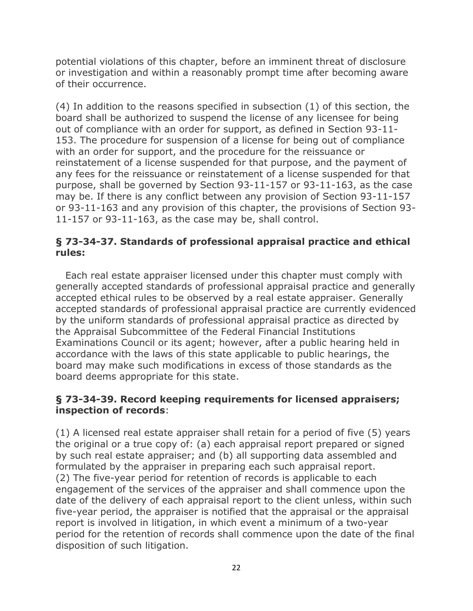potential violations of this chapter, before an imminent threat of disclosure or investigation and within a reasonably prompt time after becoming aware of their occurrence.

(4) In addition to the reasons specified in subsection (1) of this section, the board shall be authorized to suspend the license of any licensee for being out of compliance with an order for support, as defined in Section 93-11- 153. The procedure for suspension of a license for being out of compliance with an order for support, and the procedure for the reissuance or reinstatement of a license suspended for that purpose, and the payment of any fees for the reissuance or reinstatement of a license suspended for that purpose, shall be governed by Section 93-11-157 or 93-11-163, as the case may be. If there is any conflict between any provision of Section 93-11-157 or 93-11-163 and any provision of this chapter, the provisions of Section 93- 11-157 or 93-11-163, as the case may be, shall control.

## **§ 73-34-37. Standards of professional appraisal practice and ethical rules:**

 Each real estate appraiser licensed under this chapter must comply with generally accepted standards of professional appraisal practice and generally accepted ethical rules to be observed by a real estate appraiser. Generally accepted standards of professional appraisal practice are currently evidenced by the uniform standards of professional appraisal practice as directed by the Appraisal Subcommittee of the Federal Financial Institutions Examinations Council or its agent; however, after a public hearing held in accordance with the laws of this state applicable to public hearings, the board may make such modifications in excess of those standards as the board deems appropriate for this state.

### **§ 73-34-39. Record keeping requirements for licensed appraisers; inspection of records**:

(1) A licensed real estate appraiser shall retain for a period of five (5) years the original or a true copy of: (a) each appraisal report prepared or signed by such real estate appraiser; and (b) all supporting data assembled and formulated by the appraiser in preparing each such appraisal report. (2) The five-year period for retention of records is applicable to each engagement of the services of the appraiser and shall commence upon the date of the delivery of each appraisal report to the client unless, within such five-year period, the appraiser is notified that the appraisal or the appraisal report is involved in litigation, in which event a minimum of a two-year period for the retention of records shall commence upon the date of the final disposition of such litigation.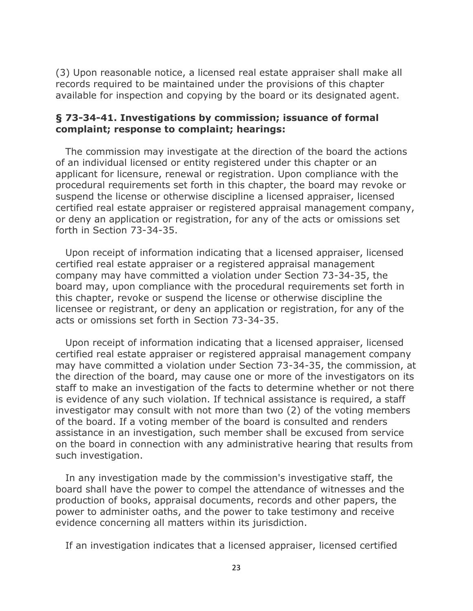(3) Upon reasonable notice, a licensed real estate appraiser shall make all records required to be maintained under the provisions of this chapter available for inspection and copying by the board or its designated agent.

#### **§ 73-34-41. Investigations by commission; issuance of formal complaint; response to complaint; hearings:**

 The commission may investigate at the direction of the board the actions of an individual licensed or entity registered under this chapter or an applicant for licensure, renewal or registration. Upon compliance with the procedural requirements set forth in this chapter, the board may revoke or suspend the license or otherwise discipline a licensed appraiser, licensed certified real estate appraiser or registered appraisal management company, or deny an application or registration, for any of the acts or omissions set forth in Section 73-34-35.

 Upon receipt of information indicating that a licensed appraiser, licensed certified real estate appraiser or a registered appraisal management company may have committed a violation under Section 73-34-35, the board may, upon compliance with the procedural requirements set forth in this chapter, revoke or suspend the license or otherwise discipline the licensee or registrant, or deny an application or registration, for any of the acts or omissions set forth in Section 73-34-35.

 Upon receipt of information indicating that a licensed appraiser, licensed certified real estate appraiser or registered appraisal management company may have committed a violation under Section 73-34-35, the commission, at the direction of the board, may cause one or more of the investigators on its staff to make an investigation of the facts to determine whether or not there is evidence of any such violation. If technical assistance is required, a staff investigator may consult with not more than two (2) of the voting members of the board. If a voting member of the board is consulted and renders assistance in an investigation, such member shall be excused from service on the board in connection with any administrative hearing that results from such investigation.

 In any investigation made by the commission's investigative staff, the board shall have the power to compel the attendance of witnesses and the production of books, appraisal documents, records and other papers, the power to administer oaths, and the power to take testimony and receive evidence concerning all matters within its jurisdiction.

If an investigation indicates that a licensed appraiser, licensed certified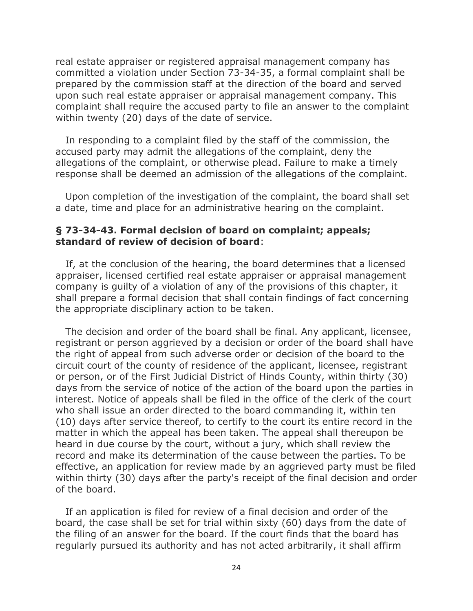real estate appraiser or registered appraisal management company has committed a violation under Section 73-34-35, a formal complaint shall be prepared by the commission staff at the direction of the board and served upon such real estate appraiser or appraisal management company. This complaint shall require the accused party to file an answer to the complaint within twenty (20) days of the date of service.

 In responding to a complaint filed by the staff of the commission, the accused party may admit the allegations of the complaint, deny the allegations of the complaint, or otherwise plead. Failure to make a timely response shall be deemed an admission of the allegations of the complaint.

 Upon completion of the investigation of the complaint, the board shall set a date, time and place for an administrative hearing on the complaint.

#### **§ 73-34-43. Formal decision of board on complaint; appeals; standard of review of decision of board**:

 If, at the conclusion of the hearing, the board determines that a licensed appraiser, licensed certified real estate appraiser or appraisal management company is guilty of a violation of any of the provisions of this chapter, it shall prepare a formal decision that shall contain findings of fact concerning the appropriate disciplinary action to be taken.

 The decision and order of the board shall be final. Any applicant, licensee, registrant or person aggrieved by a decision or order of the board shall have the right of appeal from such adverse order or decision of the board to the circuit court of the county of residence of the applicant, licensee, registrant or person, or of the First Judicial District of Hinds County, within thirty (30) days from the service of notice of the action of the board upon the parties in interest. Notice of appeals shall be filed in the office of the clerk of the court who shall issue an order directed to the board commanding it, within ten (10) days after service thereof, to certify to the court its entire record in the matter in which the appeal has been taken. The appeal shall thereupon be heard in due course by the court, without a jury, which shall review the record and make its determination of the cause between the parties. To be effective, an application for review made by an aggrieved party must be filed within thirty (30) days after the party's receipt of the final decision and order of the board.

 If an application is filed for review of a final decision and order of the board, the case shall be set for trial within sixty (60) days from the date of the filing of an answer for the board. If the court finds that the board has regularly pursued its authority and has not acted arbitrarily, it shall affirm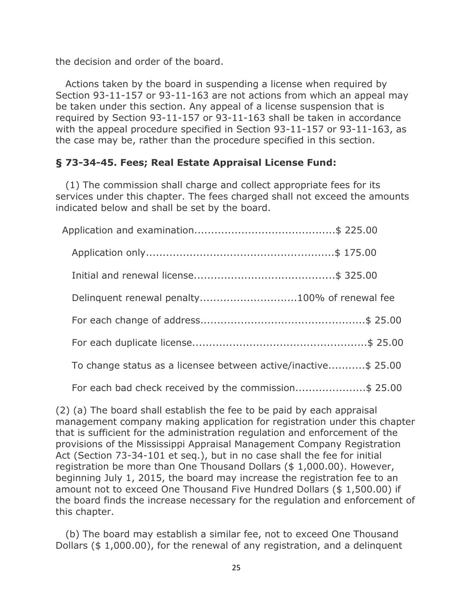the decision and order of the board.

 Actions taken by the board in suspending a license when required by Section 93-11-157 or 93-11-163 are not actions from which an appeal may be taken under this section. Any appeal of a license suspension that is required by Section 93-11-157 or 93-11-163 shall be taken in accordance with the appeal procedure specified in Section 93-11-157 or 93-11-163, as the case may be, rather than the procedure specified in this section.

# **§ 73-34-45. Fees; Real Estate Appraisal License Fund:**

 (1) The commission shall charge and collect appropriate fees for its services under this chapter. The fees charged shall not exceed the amounts indicated below and shall be set by the board.

|  | Delinquent renewal penalty100% of renewal fee                  |
|--|----------------------------------------------------------------|
|  |                                                                |
|  |                                                                |
|  | To change status as a licensee between active/inactive\$ 25.00 |
|  | For each bad check received by the commission\$ 25.00          |

(2) (a) The board shall establish the fee to be paid by each appraisal management company making application for registration under this chapter that is sufficient for the administration regulation and enforcement of the provisions of the Mississippi Appraisal Management Company Registration Act (Section 73-34-101 et seq.), but in no case shall the fee for initial registration be more than One Thousand Dollars (\$ 1,000.00). However, beginning July 1, 2015, the board may increase the registration fee to an amount not to exceed One Thousand Five Hundred Dollars (\$ 1,500.00) if the board finds the increase necessary for the regulation and enforcement of this chapter.

 (b) The board may establish a similar fee, not to exceed One Thousand Dollars (\$ 1,000.00), for the renewal of any registration, and a delinquent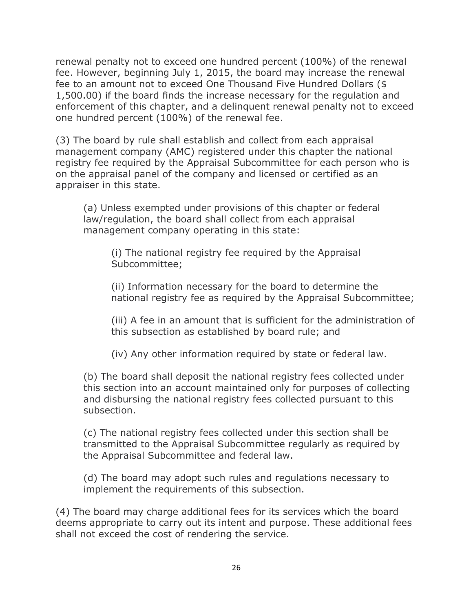renewal penalty not to exceed one hundred percent (100%) of the renewal fee. However, beginning July 1, 2015, the board may increase the renewal fee to an amount not to exceed One Thousand Five Hundred Dollars (\$ 1,500.00) if the board finds the increase necessary for the regulation and enforcement of this chapter, and a delinquent renewal penalty not to exceed one hundred percent (100%) of the renewal fee.

(3) The board by rule shall establish and collect from each appraisal management company (AMC) registered under this chapter the national registry fee required by the Appraisal Subcommittee for each person who is on the appraisal panel of the company and licensed or certified as an appraiser in this state.

(a) Unless exempted under provisions of this chapter or federal law/regulation, the board shall collect from each appraisal management company operating in this state:

(i) The national registry fee required by the Appraisal Subcommittee;

(ii) Information necessary for the board to determine the national registry fee as required by the Appraisal Subcommittee;

(iii) A fee in an amount that is sufficient for the administration of this subsection as established by board rule; and

(iv) Any other information required by state or federal law.

(b) The board shall deposit the national registry fees collected under this section into an account maintained only for purposes of collecting and disbursing the national registry fees collected pursuant to this subsection.

(c) The national registry fees collected under this section shall be transmitted to the Appraisal Subcommittee regularly as required by the Appraisal Subcommittee and federal law.

(d) The board may adopt such rules and regulations necessary to implement the requirements of this subsection.

(4) The board may charge additional fees for its services which the board deems appropriate to carry out its intent and purpose. These additional fees shall not exceed the cost of rendering the service.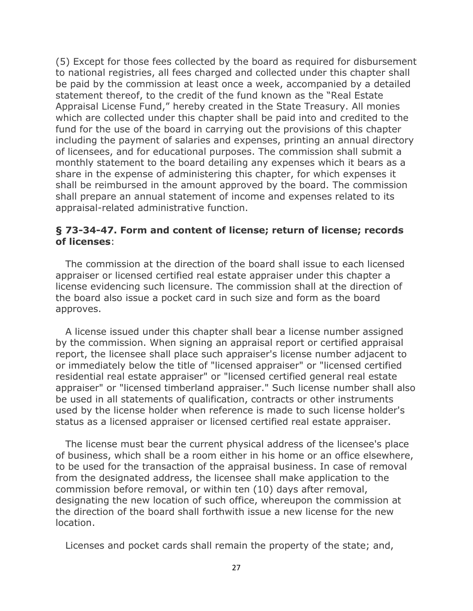(5) Except for those fees collected by the board as required for disbursement to national registries, all fees charged and collected under this chapter shall be paid by the commission at least once a week, accompanied by a detailed statement thereof, to the credit of the fund known as the "Real Estate Appraisal License Fund," hereby created in the State Treasury. All monies which are collected under this chapter shall be paid into and credited to the fund for the use of the board in carrying out the provisions of this chapter including the payment of salaries and expenses, printing an annual directory of licensees, and for educational purposes. The commission shall submit a monthly statement to the board detailing any expenses which it bears as a share in the expense of administering this chapter, for which expenses it shall be reimbursed in the amount approved by the board. The commission shall prepare an annual statement of income and expenses related to its appraisal-related administrative function.

### **§ 73-34-47. Form and content of license; return of license; records of licenses**:

 The commission at the direction of the board shall issue to each licensed appraiser or licensed certified real estate appraiser under this chapter a license evidencing such licensure. The commission shall at the direction of the board also issue a pocket card in such size and form as the board approves.

 A license issued under this chapter shall bear a license number assigned by the commission. When signing an appraisal report or certified appraisal report, the licensee shall place such appraiser's license number adjacent to or immediately below the title of "licensed appraiser" or "licensed certified residential real estate appraiser" or "licensed certified general real estate appraiser" or "licensed timberland appraiser." Such license number shall also be used in all statements of qualification, contracts or other instruments used by the license holder when reference is made to such license holder's status as a licensed appraiser or licensed certified real estate appraiser.

 The license must bear the current physical address of the licensee's place of business, which shall be a room either in his home or an office elsewhere, to be used for the transaction of the appraisal business. In case of removal from the designated address, the licensee shall make application to the commission before removal, or within ten (10) days after removal, designating the new location of such office, whereupon the commission at the direction of the board shall forthwith issue a new license for the new location.

Licenses and pocket cards shall remain the property of the state; and,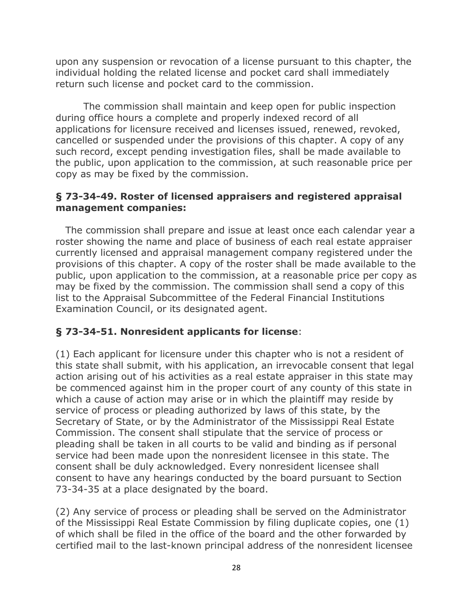upon any suspension or revocation of a license pursuant to this chapter, the individual holding the related license and pocket card shall immediately return such license and pocket card to the commission.

The commission shall maintain and keep open for public inspection during office hours a complete and properly indexed record of all applications for licensure received and licenses issued, renewed, revoked, cancelled or suspended under the provisions of this chapter. A copy of any such record, except pending investigation files, shall be made available to the public, upon application to the commission, at such reasonable price per copy as may be fixed by the commission.

## **§ 73-34-49. Roster of licensed appraisers and registered appraisal management companies:**

 The commission shall prepare and issue at least once each calendar year a roster showing the name and place of business of each real estate appraiser currently licensed and appraisal management company registered under the provisions of this chapter. A copy of the roster shall be made available to the public, upon application to the commission, at a reasonable price per copy as may be fixed by the commission. The commission shall send a copy of this list to the Appraisal Subcommittee of the Federal Financial Institutions Examination Council, or its designated agent.

# **§ 73-34-51. Nonresident applicants for license**:

(1) Each applicant for licensure under this chapter who is not a resident of this state shall submit, with his application, an irrevocable consent that legal action arising out of his activities as a real estate appraiser in this state may be commenced against him in the proper court of any county of this state in which a cause of action may arise or in which the plaintiff may reside by service of process or pleading authorized by laws of this state, by the Secretary of State, or by the Administrator of the Mississippi Real Estate Commission. The consent shall stipulate that the service of process or pleading shall be taken in all courts to be valid and binding as if personal service had been made upon the nonresident licensee in this state. The consent shall be duly acknowledged. Every nonresident licensee shall consent to have any hearings conducted by the board pursuant to Section 73-34-35 at a place designated by the board.

(2) Any service of process or pleading shall be served on the Administrator of the Mississippi Real Estate Commission by filing duplicate copies, one (1) of which shall be filed in the office of the board and the other forwarded by certified mail to the last-known principal address of the nonresident licensee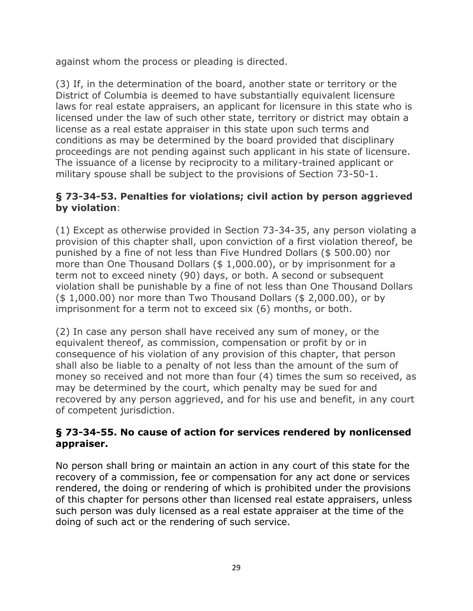against whom the process or pleading is directed.

(3) If, in the determination of the board, another state or territory or the District of Columbia is deemed to have substantially equivalent licensure laws for real estate appraisers, an applicant for licensure in this state who is licensed under the law of such other state, territory or district may obtain a license as a real estate appraiser in this state upon such terms and conditions as may be determined by the board provided that disciplinary proceedings are not pending against such applicant in his state of licensure. The issuance of a license by reciprocity to a military-trained applicant or military spouse shall be subject to the provisions of Section 73-50-1.

## **§ 73-34-53. Penalties for violations; civil action by person aggrieved by violation**:

(1) Except as otherwise provided in Section 73-34-35, any person violating a provision of this chapter shall, upon conviction of a first violation thereof, be punished by a fine of not less than Five Hundred Dollars (\$ 500.00) nor more than One Thousand Dollars (\$ 1,000.00), or by imprisonment for a term not to exceed ninety (90) days, or both. A second or subsequent violation shall be punishable by a fine of not less than One Thousand Dollars (\$ 1,000.00) nor more than Two Thousand Dollars (\$ 2,000.00), or by imprisonment for a term not to exceed six (6) months, or both.

(2) In case any person shall have received any sum of money, or the equivalent thereof, as commission, compensation or profit by or in consequence of his violation of any provision of this chapter, that person shall also be liable to a penalty of not less than the amount of the sum of money so received and not more than four (4) times the sum so received, as may be determined by the court, which penalty may be sued for and recovered by any person aggrieved, and for his use and benefit, in any court of competent jurisdiction.

## **§ 73-34-55. No cause of action for services rendered by nonlicensed appraiser.**

No person shall bring or maintain an action in any court of this state for the recovery of a commission, fee or compensation for any act done or services rendered, the doing or rendering of which is prohibited under the provisions of this chapter for persons other than licensed real estate appraisers, unless such person was duly licensed as a real estate appraiser at the time of the doing of such act or the rendering of such service.